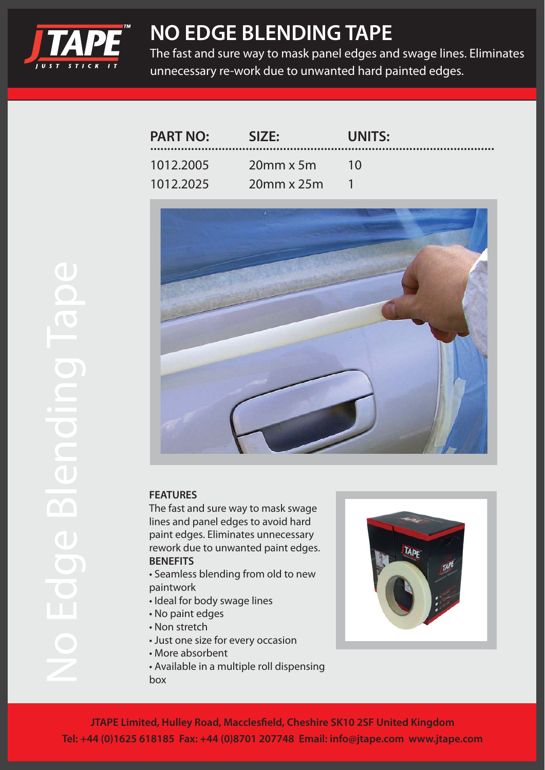

## **NO EDGE BLENDING TAPE**

The fast and sure way to mask panel edges and swage lines. Eliminates unnecessary re-work due to unwanted hard painted edges.

| <b>PART NO:</b> | SIZE:              | UNITS: |
|-----------------|--------------------|--------|
| 1012.2005       | $20$ mm x 5m       | $-10$  |
| 1012.2025       | $20$ mm x $25$ m 1 |        |



## **FEATURES**

The fast and sure way to mask swage lines and panel edges to avoid hard paint edges. Eliminates unnecessary rework due to unwanted paint edges. **BENEFITS**

- Seamless blending from old to new paintwork
- Ideal for body swage lines
- No paint edges
- Non stretch
- Just one size for every occasion
- More absorbent
- Available in a multiple roll dispensing box



**JTAPE Limited, Hulley Road, Macclesfield, Cheshire SK10 2SF United Kingdom Tel: +44 (0)1625 618185 Fax: +44 (0)8701 207748 Email: info@jtape.com www.jtape.com**